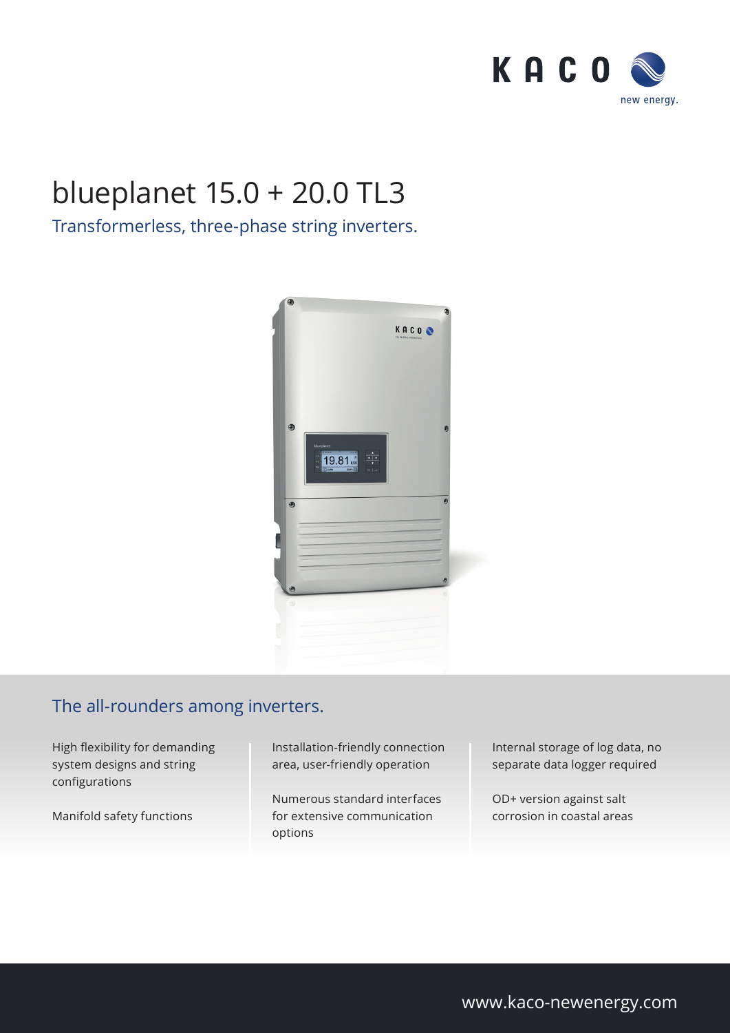

## blueplanet 15.0 + 20.0 TL3

## Transformerless, three-phase string inverters.



## The all-rounders among inverters.

High flexibility for demanding system designs and string configurations

Manifold safety functions

Installation-friendly connection area, user-friendly operation

Numerous standard interfaces for extensive communication options

Internal storage of log data, no separate data logger required

OD+ version against salt corrosion in coastal areas